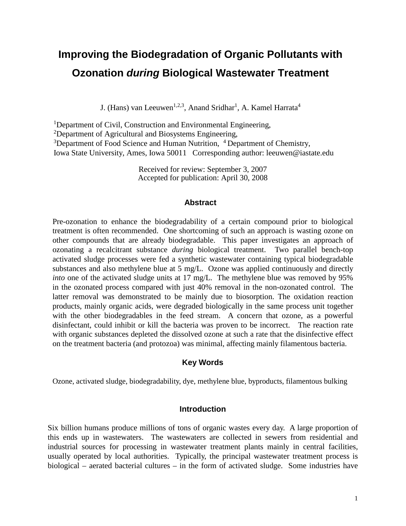# **Improving the Biodegradation of Organic Pollutants with Ozonation** *during* **Biological Wastewater Treatment**

J. (Hans) van Leeuwen<sup>1,2,3</sup>, Anand Sridhar<sup>1</sup>, A. Kamel Harrata<sup>4</sup>

<sup>1</sup>Department of Civil, Construction and Environmental Engineering,  $\frac{2\text{Department of Agricultural and Biosystems Engineering}}{2}$ Department of Agricultural and Biosystems Engineering,  $3$ Department of Food Science and Human Nutrition,  $4$ Department of Chemistry, Iowa State University, Ames, Iowa 50011 Corresponding author: leeuwen@iastate.edu

> Received for review: September 3, 2007 Accepted for publication: April 30, 2008

#### **Abstract**

Pre-ozonation to enhance the biodegradability of a certain compound prior to biological treatment is often recommended. One shortcoming of such an approach is wasting ozone on other compounds that are already biodegradable. This paper investigates an approach of ozonating a recalcitrant substance *during* biological treatment. Two parallel bench-top activated sludge processes were fed a synthetic wastewater containing typical biodegradable substances and also methylene blue at 5 mg/L. Ozone was applied continuously and directly *into* one of the activated sludge units at 17 mg/L. The methylene blue was removed by 95% in the ozonated process compared with just 40% removal in the non-ozonated control. The latter removal was demonstrated to be mainly due to biosorption. The oxidation reaction products, mainly organic acids, were degraded biologically in the same process unit together with the other biodegradables in the feed stream. A concern that ozone, as a powerful disinfectant, could inhibit or kill the bacteria was proven to be incorrect. The reaction rate with organic substances depleted the dissolved ozone at such a rate that the disinfective effect on the treatment bacteria (and protozoa) was minimal, affecting mainly filamentous bacteria.

#### **Key Words**

Ozone, activated sludge, biodegradability, dye, methylene blue, byproducts, filamentous bulking

#### **Introduction**

Six billion humans produce millions of tons of organic wastes every day. A large proportion of this ends up in wastewaters. The wastewaters are collected in sewers from residential and industrial sources for processing in wastewater treatment plants mainly in central facilities, usually operated by local authorities. Typically, the principal wastewater treatment process is biological – aerated bacterial cultures – in the form of activated sludge. Some industries have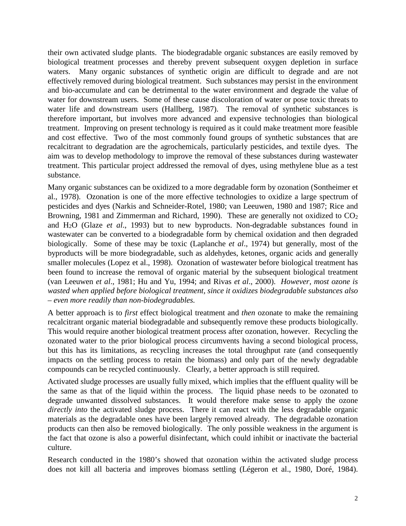their own activated sludge plants. The biodegradable organic substances are easily removed by biological treatment processes and thereby prevent subsequent oxygen depletion in surface waters. Many organic substances of synthetic origin are difficult to degrade and are not effectively removed during biological treatment. Such substances may persist in the environment and bio-accumulate and can be detrimental to the water environment and degrade the value of water for downstream users. Some of these cause discoloration of water or pose toxic threats to water life and downstream users (Hallberg, 1987). The removal of synthetic substances is therefore important, but involves more advanced and expensive technologies than biological treatment. Improving on present technology is required as it could make treatment more feasible and cost effective. Two of the most commonly found groups of synthetic substances that are recalcitrant to degradation are the agrochemicals, particularly pesticides, and textile dyes. The aim was to develop methodology to improve the removal of these substances during wastewater treatment. This particular project addressed the removal of dyes, using methylene blue as a test substance.

Many organic substances can be oxidized to a more degradable form by ozonation (Sontheimer et al., 1978). Ozonation is one of the more effective technologies to oxidize a large spectrum of pesticides and dyes (Narkis and Schneider-Rotel, 1980; van Leeuwen, 1980 and 1987; Rice and Browning, 1981 and Zimmerman and Richard, 1990). These are generally not oxidized to  $CO<sub>2</sub>$ and H2O (Glaze *et al*., 1993) but to new byproducts. Non-degradable substances found in wastewater can be converted to a biodegradable form by chemical oxidation and then degraded biologically. Some of these may be toxic (Laplanche *et al*., 1974) but generally, most of the byproducts will be more biodegradable, such as aldehydes, ketones, organic acids and generally smaller molecules (Lopez et al., 1998). Ozonation of wastewater before biological treatment has been found to increase the removal of organic material by the subsequent biological treatment (van Leeuwen *et al*., 1981; Hu and Yu, 1994; and Rivas *et al*., 2000). *However, most ozone is wasted when applied before biological treatment, since it oxidizes biodegradable substances also – even more readily than non-biodegradables.* 

A better approach is to *first* effect biological treatment and *then* ozonate to make the remaining recalcitrant organic material biodegradable and subsequently remove these products biologically. This would require another biological treatment process after ozonation, however. Recycling the ozonated water to the prior biological process circumvents having a second biological process, but this has its limitations, as recycling increases the total throughput rate (and consequently impacts on the settling process to retain the biomass) and only part of the newly degradable compounds can be recycled continuously. Clearly, a better approach is still required.

Activated sludge processes are usually fully mixed, which implies that the effluent quality will be the same as that of the liquid within the process. The liquid phase needs to be ozonated to degrade unwanted dissolved substances. It would therefore make sense to apply the ozone *directly into* the activated sludge process. There it can react with the less degradable organic materials as the degradable ones have been largely removed already. The degradable ozonation products can then also be removed biologically. The only possible weakness in the argument is the fact that ozone is also a powerful disinfectant, which could inhibit or inactivate the bacterial culture.

Research conducted in the 1980's showed that ozonation within the activated sludge process does not kill all bacteria and improves biomass settling (Légeron et al., 1980, Doré, 1984).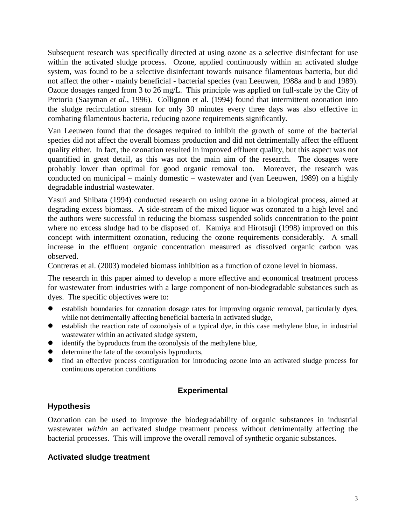Subsequent research was specifically directed at using ozone as a selective disinfectant for use within the activated sludge process. Ozone, applied continuously within an activated sludge system, was found to be a selective disinfectant towards nuisance filamentous bacteria, but did not affect the other - mainly beneficial - bacterial species (van Leeuwen, 1988a and b and 1989). Ozone dosages ranged from 3 to 26 mg/L. This principle was applied on full-scale by the City of Pretoria (Saayman *et al*., 1996). Collignon et al. (1994) found that intermittent ozonation into the sludge recirculation stream for only 30 minutes every three days was also effective in combating filamentous bacteria, reducing ozone requirements significantly.

Van Leeuwen found that the dosages required to inhibit the growth of some of the bacterial species did not affect the overall biomass production and did not detrimentally affect the effluent quality either. In fact, the ozonation resulted in improved effluent quality, but this aspect was not quantified in great detail, as this was not the main aim of the research. The dosages were probably lower than optimal for good organic removal too. Moreover, the research was conducted on municipal – mainly domestic – wastewater and (van Leeuwen, 1989) on a highly degradable industrial wastewater.

Yasui and Shibata (1994) conducted research on using ozone in a biological process, aimed at degrading excess biomass. A side-stream of the mixed liquor was ozonated to a high level and the authors were successful in reducing the biomass suspended solids concentration to the point where no excess sludge had to be disposed of. Kamiya and Hirotsuji (1998) improved on this concept with intermittent ozonation, reducing the ozone requirements considerably. A small increase in the effluent organic concentration measured as dissolved organic carbon was observed.

Contreras et al. (2003) modeled biomass inhibition as a function of ozone level in biomass.

The research in this paper aimed to develop a more effective and economical treatment process for wastewater from industries with a large component of non-biodegradable substances such as dyes. The specific objectives were to:

- establish boundaries for ozonation dosage rates for improving organic removal, particularly dyes, while not detrimentally affecting beneficial bacteria in activated sludge,
- establish the reaction rate of ozonolysis of a typical dye, in this case methylene blue, in industrial wastewater within an activated sludge system,
- identify the byproducts from the ozonolysis of the methylene blue,
- determine the fate of the ozonolysis byproducts,
- find an effective process configuration for introducing ozone into an activated sludge process for continuous operation conditions

# **Experimental**

# **Hypothesis**

Ozonation can be used to improve the biodegradability of organic substances in industrial wastewater *within* an activated sludge treatment process without detrimentally affecting the bacterial processes. This will improve the overall removal of synthetic organic substances.

## **Activated sludge treatment**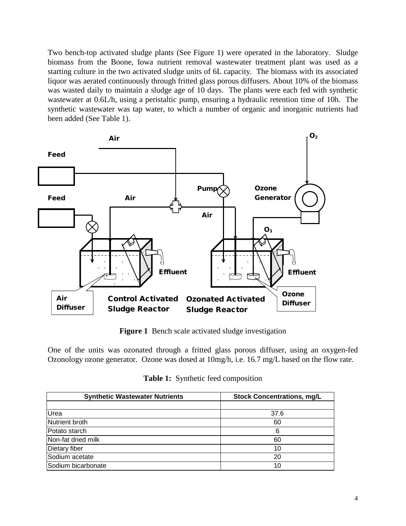Two bench-top activated sludge plants (See Figure 1) were operated in the laboratory. Sludge biomass from the Boone, Iowa nutrient removal wastewater treatment plant was used as a starting culture in the two activated sludge units of 6L capacity. The biomass with its associated liquor was aerated continuously through fritted glass porous diffusers. About 10% of the biomass was wasted daily to maintain a sludge age of 10 days. The plants were each fed with synthetic wastewater at 0.6L/h, using a peristaltic pump, ensuring a hydraulic retention time of 10h. The synthetic wastewater was tap water, to which a number of organic and inorganic nutrients had been added (See Table 1).



**Figure 1** Bench scale activated sludge investigation

One of the units was ozonated through a fritted glass porous diffuser, using an oxygen-fed Ozonology ozone generator. Ozone was dosed at 10mg/h, i.e. 16.7 mg/L based on the flow rate.

| <b>Synthetic Wastewater Nutrients</b> | <b>Stock Concentrations, mg/L</b> |
|---------------------------------------|-----------------------------------|
|                                       |                                   |
| Urea                                  | 37.6                              |
| Nutrient broth                        | 60                                |
| Potato starch                         | 6                                 |
| Non-fat dried milk                    | 60                                |
| Dietary fiber                         | 10                                |
| Sodium acetate                        | 20                                |
| Sodium bicarbonate                    | 10                                |

| Table 1: Synthetic feed composition |  |
|-------------------------------------|--|
|-------------------------------------|--|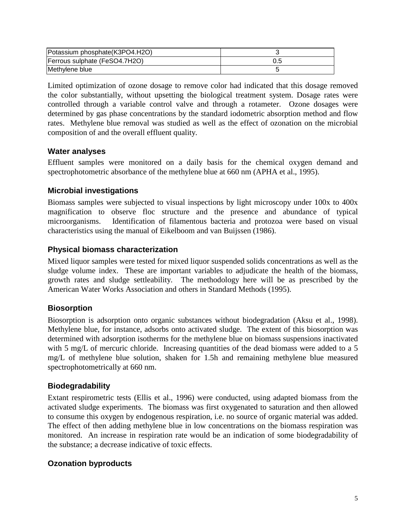| Potassium phosphate(K3PO4.H2O) |  |
|--------------------------------|--|
| Ferrous sulphate (FeSO4.7H2O)  |  |
| Methylene blue                 |  |

Limited optimization of ozone dosage to remove color had indicated that this dosage removed the color substantially, without upsetting the biological treatment system. Dosage rates were controlled through a variable control valve and through a rotameter. Ozone dosages were determined by gas phase concentrations by the standard iodometric absorption method and flow rates. Methylene blue removal was studied as well as the effect of ozonation on the microbial composition of and the overall effluent quality.

## **Water analyses**

Effluent samples were monitored on a daily basis for the chemical oxygen demand and spectrophotometric absorbance of the methylene blue at 660 nm (APHA et al., 1995).

## **Microbial investigations**

Biomass samples were subjected to visual inspections by light microscopy under 100x to 400x magnification to observe floc structure and the presence and abundance of typical microorganisms. Identification of filamentous bacteria and protozoa were based on visual characteristics using the manual of Eikelboom and van Buijssen (1986).

## **Physical biomass characterization**

Mixed liquor samples were tested for mixed liquor suspended solids concentrations as well as the sludge volume index. These are important variables to adjudicate the health of the biomass, growth rates and sludge settleability. The methodology here will be as prescribed by the American Water Works Association and others in Standard Methods (1995).

# **Biosorption**

Biosorption is adsorption onto organic substances without biodegradation (Aksu et al., 1998). Methylene blue, for instance, adsorbs onto activated sludge. The extent of this biosorption was determined with adsorption isotherms for the methylene blue on biomass suspensions inactivated with 5 mg/L of mercuric chloride. Increasing quantities of the dead biomass were added to a 5 mg/L of methylene blue solution, shaken for 1.5h and remaining methylene blue measured spectrophotometrically at 660 nm.

# **Biodegradability**

Extant respirometric tests (Ellis et al., 1996) were conducted, using adapted biomass from the activated sludge experiments. The biomass was first oxygenated to saturation and then allowed to consume this oxygen by endogenous respiration, i.e. no source of organic material was added. The effect of then adding methylene blue in low concentrations on the biomass respiration was monitored. An increase in respiration rate would be an indication of some biodegradability of the substance; a decrease indicative of toxic effects.

# **Ozonation byproducts**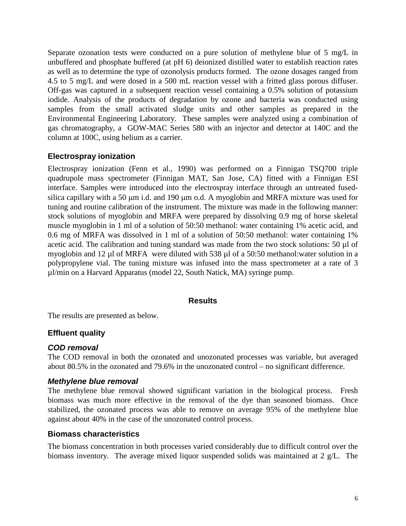Separate ozonation tests were conducted on a pure solution of methylene blue of 5 mg/L in unbuffered and phosphate buffered (at pH 6) deionized distilled water to establish reaction rates as well as to determine the type of ozonolysis products formed. The ozone dosages ranged from 4.5 to 5 mg/L and were dosed in a 500 mL reaction vessel with a fritted glass porous diffuser. Off-gas was captured in a subsequent reaction vessel containing a 0.5% solution of potassium iodide. Analysis of the products of degradation by ozone and bacteria was conducted using samples from the small activated sludge units and other samples as prepared in the Environmental Engineering Laboratory. These samples were analyzed using a combination of gas chromatography, a GOW-MAC Series 580 with an injector and detector at 140C and the column at 100C, using helium as a carrier.

## **Electrospray ionization**

Electrospray ionization (Fenn et al., 1990) was performed on a Finnigan TSQ700 triple quadrupole mass spectrometer (Finnigan MAT, San Jose, CA) fitted with a Finnigan ESI interface. Samples were introduced into the electrospray interface through an untreated fusedsilica capillary with a 50  $\mu$ m i.d. and 190  $\mu$ m o.d. A myoglobin and MRFA mixture was used for tuning and routine calibration of the instrument. The mixture was made in the following manner: stock solutions of myoglobin and MRFA were prepared by dissolving 0.9 mg of horse skeletal muscle myoglobin in 1 ml of a solution of 50:50 methanol: water containing 1% acetic acid, and 0.6 mg of MRFA was dissolved in 1 ml of a solution of 50:50 methanol: water containing 1% acetic acid. The calibration and tuning standard was made from the two stock solutions: 50 µl of myoglobin and 12 µl of MRFA were diluted with 538 µl of a 50:50 methanol:water solution in a polypropylene vial. The tuning mixture was infused into the mass spectrometer at a rate of 3 µl/min on a Harvard Apparatus (model 22, South Natick, MA) syringe pump.

#### **Results**

The results are presented as below.

## **Effluent quality**

## *COD removal*

The COD removal in both the ozonated and unozonated processes was variable, but averaged about 80.5% in the ozonated and 79.6% in the unozonated control – no significant difference.

#### *Methylene blue removal*

The methylene blue removal showed significant variation in the biological process. Fresh biomass was much more effective in the removal of the dye than seasoned biomass. Once stabilized, the ozonated process was able to remove on average 95% of the methylene blue against about 40% in the case of the unozonated control process.

#### **Biomass characteristics**

The biomass concentration in both processes varied considerably due to difficult control over the biomass inventory. The average mixed liquor suspended solids was maintained at 2 g/L. The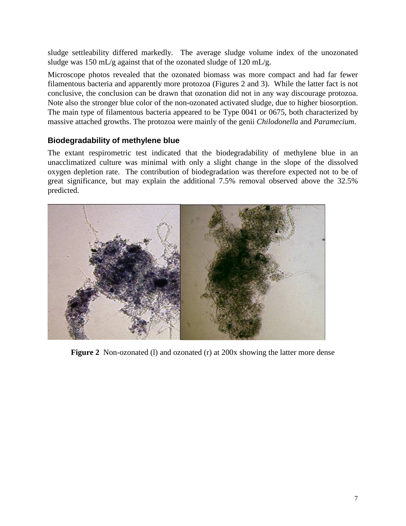sludge settleability differed markedly. The average sludge volume index of the unozonated sludge was 150 mL/g against that of the ozonated sludge of 120 mL/g.

Microscope photos revealed that the ozonated biomass was more compact and had far fewer filamentous bacteria and apparently more protozoa (Figures 2 and 3). While the latter fact is not conclusive, the conclusion can be drawn that ozonation did not in any way discourage protozoa. Note also the stronger blue color of the non-ozonated activated sludge, due to higher biosorption. The main type of filamentous bacteria appeared to be Type 0041 or 0675, both characterized by massive attached growths. The protozoa were mainly of the genii *Chilodonella* and *Paramecium*.

# **Biodegradability of methylene blue**

The extant respirometric test indicated that the biodegradability of methylene blue in an unacclimatized culture was minimal with only a slight change in the slope of the dissolved oxygen depletion rate. The contribution of biodegradation was therefore expected not to be of great significance, but may explain the additional 7.5% removal observed above the 32.5% predicted.



**Figure 2** Non-ozonated (I) and ozonated (r) at 200x showing the latter more dense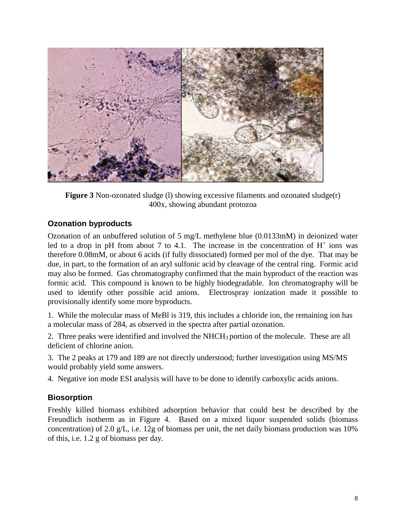

**Figure 3** Non-ozonated sludge (1) showing excessive filaments and ozonated sludge(r) 400x, showing abundant protozoa

# **Ozonation byproducts**

Ozonation of an unbuffered solution of 5 mg/L methylene blue (0.0133mM) in deionized water led to a drop in pH from about 7 to 4.1. The increase in the concentration of  $H^+$  ions was therefore 0.08mM, or about 6 acids (if fully dissociated) formed per mol of the dye. That may be due, in part, to the formation of an aryl sulfonic acid by cleavage of the central ring. Formic acid may also be formed. Gas chromatography confirmed that the main byproduct of the reaction was formic acid. This compound is known to be highly biodegradable. Ion chromatography will be used to identify other possible acid anions. Electrospray ionization made it possible to provisionally identify some more byproducts.

1. While the molecular mass of MeBl is 319, this includes a chloride ion, the remaining ion has a molecular mass of 284, as observed in the spectra after partial ozonation.

2. Three peaks were identified and involved the NHCH3 portion of the molecule. These are all deficient of chlorine anion.

3. The 2 peaks at 179 and 189 are not directly understood; further investigation using MS/MS would probably yield some answers.

4. Negative ion mode ESI analysis will have to be done to identify carboxylic acids anions.

# **Biosorption**

Freshly killed biomass exhibited adsorption behavior that could best be described by the Freundlich isotherm as in Figure 4. Based on a mixed liquor suspended solids (biomass concentration) of 2.0 g/L, i.e. 12g of biomass per unit, the net daily biomass production was 10% of this, i.e. 1.2 g of biomass per day.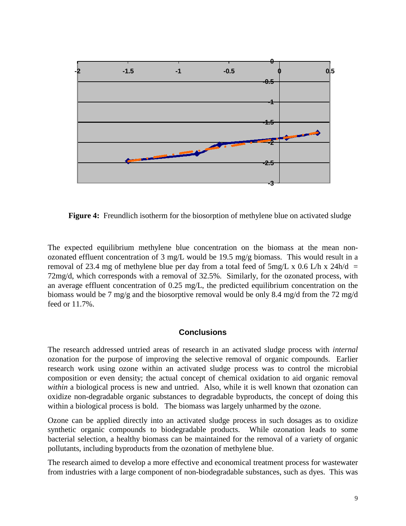

**Figure 4:** Freundlich isotherm for the biosorption of methylene blue on activated sludge

The expected equilibrium methylene blue concentration on the biomass at the mean nonozonated effluent concentration of 3 mg/L would be 19.5 mg/g biomass. This would result in a removal of 23.4 mg of methylene blue per day from a total feed of  $5mg/L \times 0.6$  L/h x 24h/d = 72mg/d, which corresponds with a removal of 32.5%. Similarly, for the ozonated process, with an average effluent concentration of 0.25 mg/L, the predicted equilibrium concentration on the biomass would be 7 mg/g and the biosorptive removal would be only 8.4 mg/d from the 72 mg/d feed or 11.7%.

## **Conclusions**

The research addressed untried areas of research in an activated sludge process with *internal* ozonation for the purpose of improving the selective removal of organic compounds. Earlier research work using ozone within an activated sludge process was to control the microbial composition or even density; the actual concept of chemical oxidation to aid organic removal *within* a biological process is new and untried. Also, while it is well known that ozonation can oxidize non-degradable organic substances to degradable byproducts, the concept of doing this within a biological process is bold. The biomass was largely unharmed by the ozone.

Ozone can be applied directly into an activated sludge process in such dosages as to oxidize synthetic organic compounds to biodegradable products. While ozonation leads to some bacterial selection, a healthy biomass can be maintained for the removal of a variety of organic pollutants, including byproducts from the ozonation of methylene blue.

The research aimed to develop a more effective and economical treatment process for wastewater from industries with a large component of non-biodegradable substances, such as dyes. This was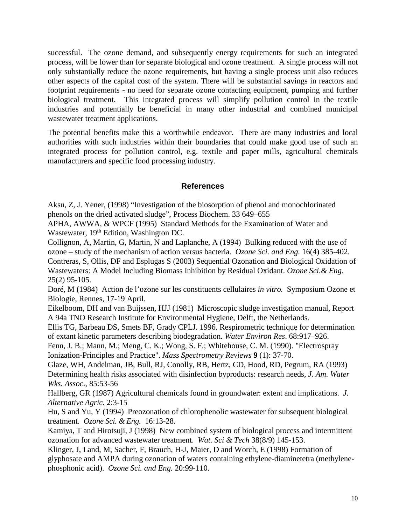successful. The ozone demand, and subsequently energy requirements for such an integrated process, will be lower than for separate biological and ozone treatment. A single process will not only substantially reduce the ozone requirements, but having a single process unit also reduces other aspects of the capital cost of the system. There will be substantial savings in reactors and footprint requirements - no need for separate ozone contacting equipment, pumping and further biological treatment. This integrated process will simplify pollution control in the textile industries and potentially be beneficial in many other industrial and combined municipal wastewater treatment applications.

The potential benefits make this a worthwhile endeavor. There are many industries and local authorities with such industries within their boundaries that could make good use of such an integrated process for pollution control, e.g. textile and paper mills, agricultural chemicals manufacturers and specific food processing industry.

## **References**

Aksu, Z, J. Yener, (1998) "Investigation of the biosorption of phenol and monochlorinated phenols on the dried activated sludge", Process Biochem. 33 649–655

APHA, AWWA, & WPCF (1995) Standard Methods for the Examination of Water and Wastewater, 19<sup>th</sup> Edition, Washington DC.

Collignon, A, Martin, G, Martin, N and Laplanche, A (1994) Bulking reduced with the use of ozone – study of the mechanism of action versus bacteria. *Ozone Sci. and Eng.* 16(4) 385-402. Contreras, S, Ollis, DF and Esplugas S (2003) Sequential Ozonation and Biological Oxidation of Wastewaters: A Model Including Biomass Inhibition by Residual Oxidant. *Ozone Sci.& Eng*. 25(2) 95-105.

Doré, M (1984) Action de l'ozone sur les constituents cellulaires *in vitro.* Symposium Ozone et Biologie, Rennes, 17-19 April.

Eikelboom, DH and van Buijssen, HJJ (1981) Microscopic sludge investigation manual, Report A 94a TNO Research Institute for Environmental Hygiene, Delft, the Netherlands.

Ellis TG, Barbeau DS, Smets BF, Grady CPLJ. 1996. Respirometric technique for determination of extant kinetic parameters describing biodegradation. *Water Environ Res*. 68:917–926.

Fenn, J. B.; Mann, M.; Meng, C. K.; Wong, S. F.; Whitehouse, C. M. (1990). "Electrospray Ionization-Principles and Practice". *Mass Spectrometry Reviews* **9** (1): 37-70.

Glaze, WH, Andelman, JB, Bull, RJ, Conolly, RB, Hertz, CD, Hood, RD, Pegrum, RA (1993) Determining health risks associated with disinfection byproducts: research needs, *J. Am. Water Wks. Assoc*., 85:53-56

Hallberg, GR (1987) Agricultural chemicals found in groundwater: extent and implications. *J. Alternative Agric.* 2:3-15

Hu, S and Yu, Y (1994) Preozonation of chlorophenolic wastewater for subsequent biological treatment. *Ozone Sci. & Eng.* 16:13-28.

Kamiya, T and Hirotsuji, J (1998) New combined system of biological process and intermittent ozonation for advanced wastewater treatment. *Wat. Sci & Tech* 38(8/9) 145-153.

Klinger, J, Land, M, Sacher, F, Brauch, H-J, Maier, D and Worch, E (1998) Formation of glyphosate and AMPA during ozonation of waters containing ethylene-diaminetetra (methylenephosphonic acid). *Ozone Sci. and Eng.* 20:99-110.